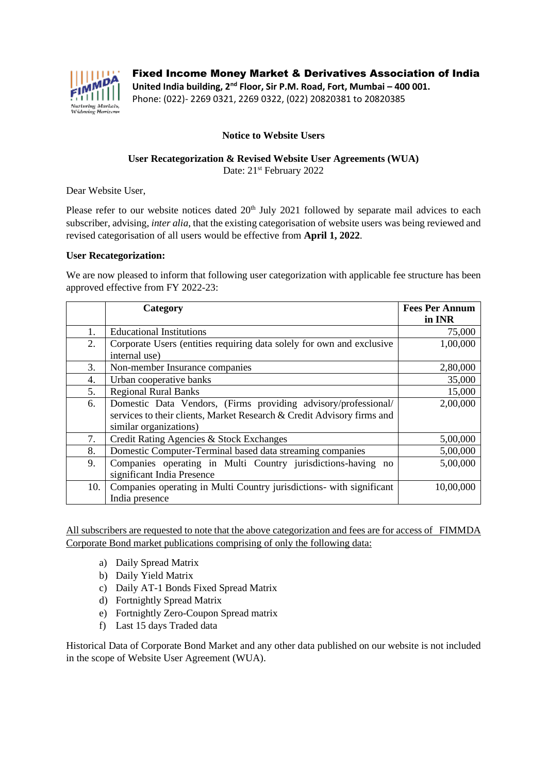

Fixed Income Money Market & Derivatives Association of India

**United India building, 2nd Floor, Sir P.M. Road, Fort, Mumbai – 400 001.** Phone: (022)- 2269 0321, 2269 0322, (022) 20820381 to 20820385

## **Notice to Website Users**

## **User Recategorization & Revised Website User Agreements (WUA)** Date: 21<sup>st</sup> February 2022

Dear Website User,

Please refer to our website notices dated 20<sup>th</sup> July 2021 followed by separate mail advices to each subscriber, advising, *inter alia*, that the existing categorisation of website users was being reviewed and revised categorisation of all users would be effective from **April 1, 2022**.

## **User Recategorization:**

We are now pleased to inform that following user categorization with applicable fee structure has been approved effective from FY 2022-23:

|     | Category                                                                               | <b>Fees Per Annum</b> |
|-----|----------------------------------------------------------------------------------------|-----------------------|
|     |                                                                                        | in INR                |
| 1.  | <b>Educational Institutions</b>                                                        | 75,000                |
| 2.  | Corporate Users (entities requiring data solely for own and exclusive<br>internal use) | 1,00,000              |
| 3.  | Non-member Insurance companies                                                         | 2,80,000              |
| 4.  | Urban cooperative banks                                                                | 35,000                |
| 5.  | <b>Regional Rural Banks</b>                                                            | 15,000                |
| 6.  | Domestic Data Vendors, (Firms providing advisory/professional/                         | 2,00,000              |
|     | services to their clients, Market Research & Credit Advisory firms and                 |                       |
|     | similar organizations)                                                                 |                       |
| 7.  | Credit Rating Agencies & Stock Exchanges                                               | 5,00,000              |
| 8.  | Domestic Computer-Terminal based data streaming companies                              | 5,00,000              |
| 9.  | Companies operating in Multi Country jurisdictions-having no                           | 5,00,000              |
|     | significant India Presence                                                             |                       |
| 10. | Companies operating in Multi Country jurisdictions- with significant                   | 10,00,000             |
|     | India presence                                                                         |                       |

All subscribers are requested to note that the above categorization and fees are for access of FIMMDA Corporate Bond market publications comprising of only the following data:

- a) Daily Spread Matrix
- b) Daily Yield Matrix
- c) Daily AT-1 Bonds Fixed Spread Matrix
- d) Fortnightly Spread Matrix
- e) Fortnightly Zero-Coupon Spread matrix
- f) Last 15 days Traded data

Historical Data of Corporate Bond Market and any other data published on our website is not included in the scope of Website User Agreement (WUA).